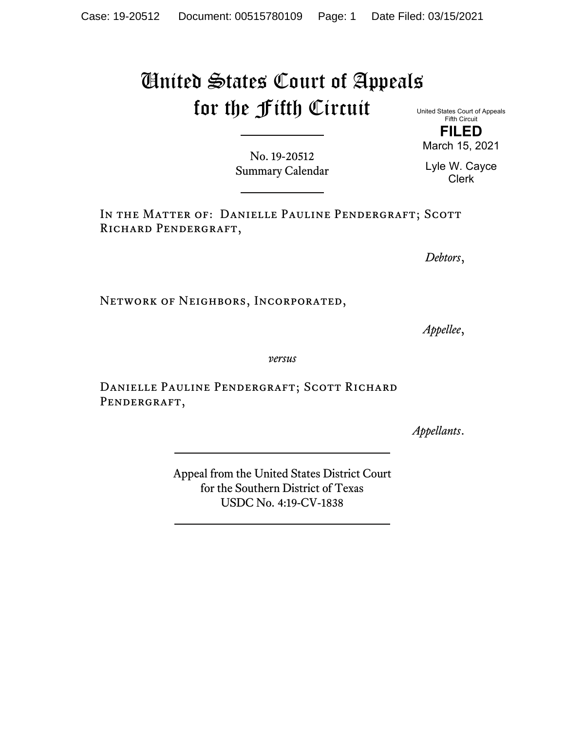## United States Court of Appeals for the Fifth Circuit

No. 19-20512 Summary Calendar

IN THE MATTER OF: DANIELLE PAULINE PENDERGRAFT; SCOTT RICHARD PENDERGRAFT,

*Debtors*,

Network of Neighbors, Incorporated,

*Appellee*,

*versus*

DANIELLE PAULINE PENDERGRAFT; SCOTT RICHARD PENDERGRAFT,

*Appellants*.

Appeal from the United States District Court for the Southern District of Texas USDC No. 4:19-CV-1838

United States Court of Appeals Fifth Circuit

**FILED** March 15, 2021

Lyle W. Cayce Clerk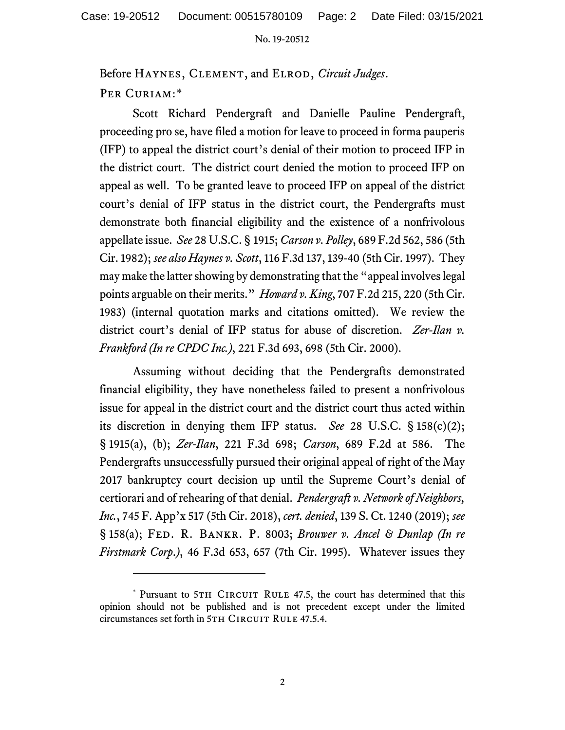## No. 19-20512

Before Haynes, Clement, and Elrod, *Circuit Judges*. PER CURIAM:[\\*](#page-1-0)

Scott Richard Pendergraft and Danielle Pauline Pendergraft, proceeding pro se, have filed a motion for leave to proceed in forma pauperis (IFP) to appeal the district court's denial of their motion to proceed IFP in the district court. The district court denied the motion to proceed IFP on appeal as well. To be granted leave to proceed IFP on appeal of the district court's denial of IFP status in the district court, the Pendergrafts must demonstrate both financial eligibility and the existence of a nonfrivolous appellate issue. *See* 28 U.S.C. § 1915; *Carson v. Polley*, 689 F.2d 562, 586 (5th Cir. 1982); *see also Haynes v. Scott*, 116 F.3d 137, 139-40 (5th Cir. 1997). They may make the latter showing by demonstrating that the "appeal involves legal points arguable on their merits." *Howard v. King*, 707 F.2d 215, 220 (5th Cir. 1983) (internal quotation marks and citations omitted). We review the district court's denial of IFP status for abuse of discretion. *Zer-Ilan v. Frankford (In re CPDC Inc.)*, 221 F.3d 693, 698 (5th Cir. 2000).

Assuming without deciding that the Pendergrafts demonstrated financial eligibility, they have nonetheless failed to present a nonfrivolous issue for appeal in the district court and the district court thus acted within its discretion in denying them IFP status. *See* 28 U.S.C. § 158(c)(2); § 1915(a), (b); *Zer-Ilan*, 221 F.3d 698; *Carson*, 689 F.2d at 586. The Pendergrafts unsuccessfully pursued their original appeal of right of the May 2017 bankruptcy court decision up until the Supreme Court's denial of certiorari and of rehearing of that denial. *Pendergraft v. Network of Neighbors, Inc.*, 745 F. App'x 517 (5th Cir. 2018), *cert. denied*, 139 S. Ct. 1240 (2019); *see*  § 158(a); Fed. R. Bankr. P. 8003; *Brouwer v. Ancel & Dunlap (In re Firstmark Corp*.*)*, 46 F.3d 653, 657 (7th Cir. 1995). Whatever issues they

<span id="page-1-0"></span><sup>\*</sup> Pursuant to 5TH CIRCUIT RULE 47.5, the court has determined that this opinion should not be published and is not precedent except under the limited circumstances set forth in 5TH CIRCUIT RULE 47.5.4.